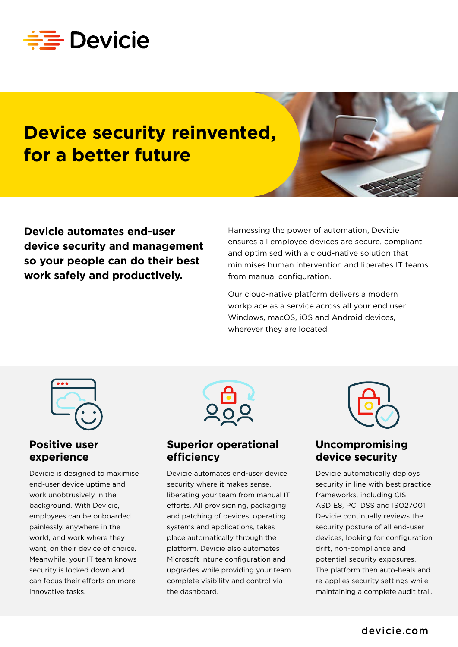

# **Device security reinvented, for a better future**



**Devicie automates end-user device security and management so your people can do their best work safely and productively.**

Harnessing the power of automation, Devicie ensures all employee devices are secure, compliant and optimised with a cloud-native solution that minimises human intervention and liberates IT teams from manual configuration.

Our cloud-native platform delivers a modern workplace as a service across all your end user Windows, macOS, iOS and Android devices, wherever they are located.



#### **Positive user experience**

Devicie is designed to maximise end-user device uptime and work unobtrusively in the background. With Devicie, employees can be onboarded painlessly, anywhere in the world, and work where they want, on their device of choice. Meanwhile, your IT team knows security is locked down and can focus their efforts on more innovative tasks.



#### **Superior operational efficiency**

Devicie automates end-user device security where it makes sense, liberating your team from manual IT efforts. All provisioning, packaging and patching of devices, operating systems and applications, takes place automatically through the platform. Devicie also automates Microsoft Intune configuration and upgrades while providing your team complete visibility and control via the dashboard.



### **Uncompromising device security**

Devicie automatically deploys security in line with best practice frameworks, including CIS, ASD E8, PCI DSS and ISO27001. Devicie continually reviews the security posture of all end-user devices, looking for configuration drift, non-compliance and potential security exposures. The platform then auto-heals and re-applies security settings while maintaining a complete audit trail.